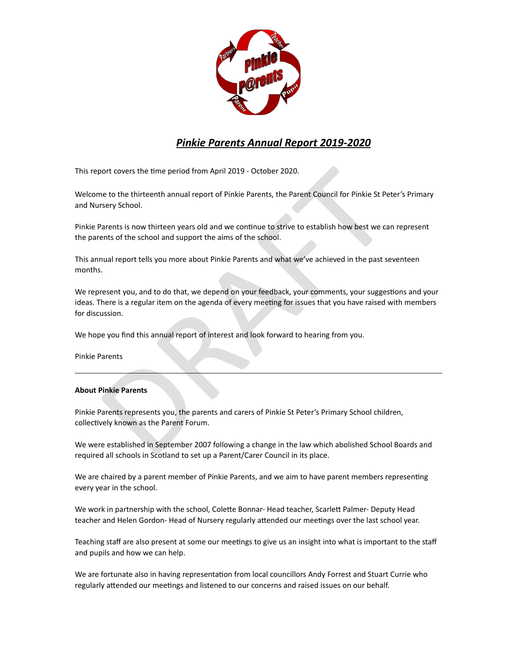

# *Pinkie Parents Annual Report 2019-2020*

This report covers the time period from April 2019 - October 2020.

Welcome to the thirteenth annual report of Pinkie Parents, the Parent Council for Pinkie St Peter's Primary and Nursery School.

Pinkie Parents is now thirteen years old and we continue to strive to establish how best we can represent the parents of the school and support the aims of the school.

This annual report tells you more about Pinkie Parents and what we've achieved in the past seventeen months.

oort covers the time period from April 2019 - October 2020.<br>
The to the thirteenth annual report of Pinkie Parents, the Parent Council for Pinkie St Pe<br>
Stery School.<br>
Parents is now thirteen years old and we continue to s We represent you, and to do that, we depend on your feedback, your comments, your suggestions and your ideas. There is a regular item on the agenda of every meeting for issues that you have raised with members for discussion.

We hope you find this annual report of interest and look forward to hearing from you.

Pinkie Parents

## **About Pinkie Parents**

Pinkie Parents represents you, the parents and carers of Pinkie St Peter's Primary School children, collectively known as the Parent Forum.

We were established in September 2007 following a change in the law which abolished School Boards and required all schools in Scotland to set up a Parent/Carer Council in its place.

We are chaired by a parent member of Pinkie Parents, and we aim to have parent members representing every year in the school.

We work in partnership with the school, Colette Bonnar- Head teacher, Scarlett Palmer- Deputy Head teacher and Helen Gordon- Head of Nursery regularly attended our meetings over the last school year.

Teaching staff are also present at some our meetings to give us an insight into what is important to the staff and pupils and how we can help.

We are fortunate also in having representation from local councillors Andy Forrest and Stuart Currie who regularly attended our meetings and listened to our concerns and raised issues on our behalf.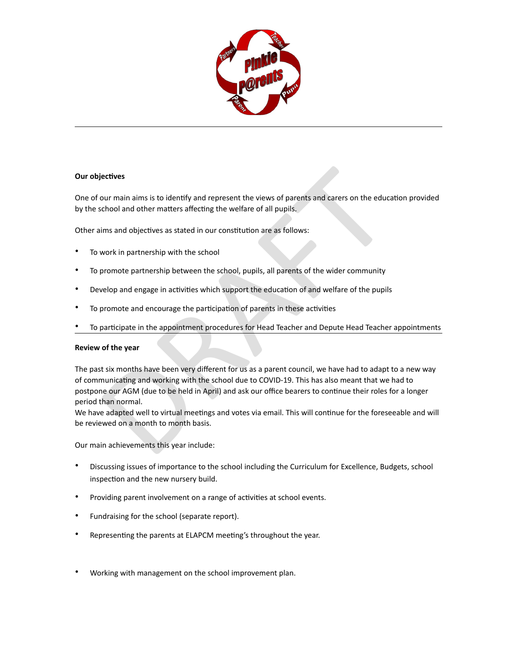

## **Our objectives**

One of our main aims is to identify and represent the views of parents and carers on the education provided by the school and other matters affecting the welfare of all pupils.

Other aims and objectives as stated in our constitution are as follows:

- To work in partnership with the school
- To promote partnership between the school, pupils, all parents of the wider community
- Develop and engage in activities which support the education of and welfare of the pupils
- To promote and encourage the participation of parents in these activities
- To participate in the appointment procedures for Head Teacher and Depute Head Teacher appointments

#### **Review of the year**

lectives<br>our main aims is to identify and represent the views of parents and carers on the educt<br>chool and other matters affecting the welfare of all pupils.<br>Ims and objectives as stated in our constitution are as follows: The past six months have been very different for us as a parent council, we have had to adapt to a new way of communicating and working with the school due to COVID-19. This has also meant that we had to postpone our AGM (due to be held in April) and ask our office bearers to continue their roles for a longer period than normal.

We have adapted well to virtual meetings and votes via email. This will continue for the foreseeable and will be reviewed on a month to month basis.

Our main achievements this year include:

- Discussing issues of importance to the school including the Curriculum for Excellence, Budgets, school inspection and the new nursery build.
- Providing parent involvement on a range of activities at school events.
- Fundraising for the school (separate report).
- Representing the parents at ELAPCM meeting's throughout the year.
- Working with management on the school improvement plan.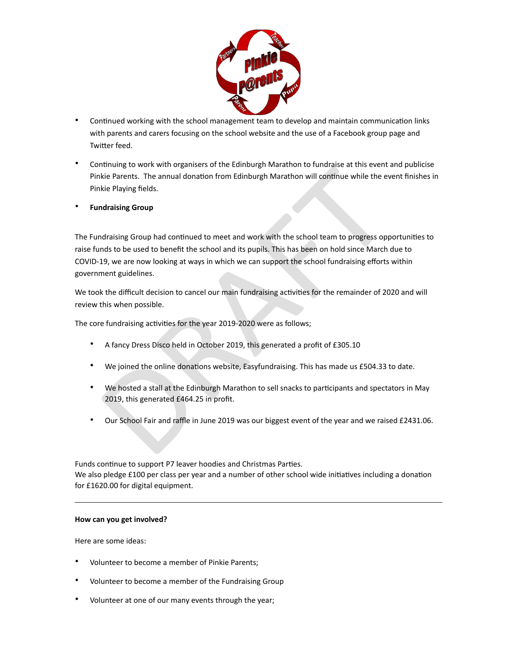

- Continued working with the school management team to develop and maintain communication links with parents and carers focusing on the school website and the use of a Facebook group page and Twitter feed.
- Continuing to work with organisers of the Edinburgh Marathon to fundraise at this event and publicise Pinkie Parents. The annual donation from Edinburgh Marathon will continue while the event finishes in Pinkie Playing fields.
- **Fundraising Group**

Entering to work with the amound donation from Edinburgh Marathon will continue while the events<br>kie Parents. The annual donation from Edinburgh Marathon will continue while the events<br>kie Playing fields.<br>draising Group ha The Fundraising Group had continued to meet and work with the school team to progress opportunities to raise funds to be used to benefit the school and its pupils. This has been on hold since March due to COVID-19, we are now looking at ways in which we can support the school fundraising efforts within government guidelines.

We took the difficult decision to cancel our main fundraising activities for the remainder of 2020 and will review this when possible.

The core fundraising activities for the year 2019-2020 were as follows;

- A fancy Dress Disco held in October 2019, this generated a profit of £305.10
- We joined the online donations website, Easyfundraising. This has made us £504.33 to date.
- We hosted a stall at the Edinburgh Marathon to sell snacks to participants and spectators in May 2019, this generated £464.25 in profit.
- Our School Fair and raffle in June 2019 was our biggest event of the year and we raised £2431.06.

Funds continue to support P7 leaver hoodies and Christmas Parties. We also pledge £100 per class per year and a number of other school wide initiatives including a donation for £1620.00 for digital equipment.

#### **How can you get involved?**

Here are some ideas:

- Volunteer to become a member of Pinkie Parents;
- Volunteer to become a member of the Fundraising Group
- Volunteer at one of our many events through the year;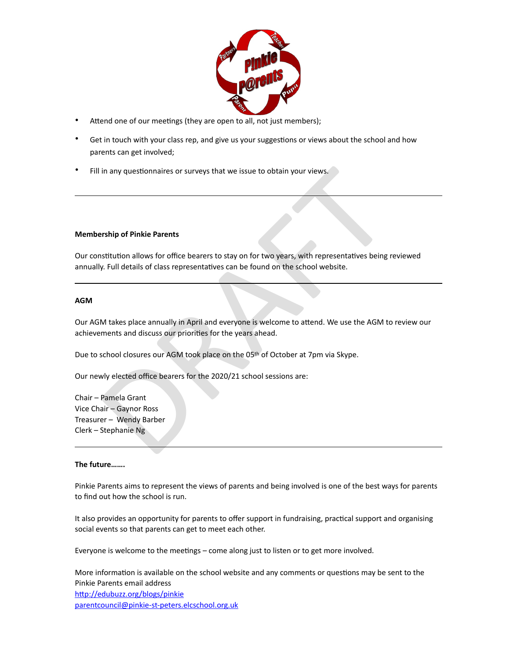

- Attend one of our meetings (they are open to all, not just members);
- Get in touch with your class rep, and give us your suggestions or views about the school and how parents can get involved;
- Fill in any questionnaires or surveys that we issue to obtain your views.

## **Membership of Pinkie Parents**

in any questionnaires or surveys that we issue to obtain your views.<br>
Stribution allows for office bearers to stay on for two years, with representatives being<br>
stribution allows for office bearers to stay on for two years Our constitution allows for office bearers to stay on for two years, with representatives being reviewed annually. Full details of class representatives can be found on the school website.

## **AGM**

Our AGM takes place annually in April and everyone is welcome to attend. We use the AGM to review our achievements and discuss our priorities for the years ahead.

Due to school closures our AGM took place on the 05th of October at 7pm via Skype.

Our newly elected office bearers for the 2020/21 school sessions are:

Chair – Pamela Grant Vice Chair – Gaynor Ross Treasurer – Wendy Barber Clerk – Stephanie Ng

#### **The future…….**

Pinkie Parents aims to represent the views of parents and being involved is one of the best ways for parents to find out how the school is run.

It also provides an opportunity for parents to offer support in fundraising, practical support and organising social events so that parents can get to meet each other.

Everyone is welcome to the meetings – come along just to listen or to get more involved.

More information is available on the school website and any comments or questions may be sent to the Pinkie Parents email address http://edubuzz.org/blogs/pinkie [parentcouncil@pinkie-st-peters.elcschool.org.uk](mailto:parentcouncil@pinkie-st-peters.elcschool.org.uk)